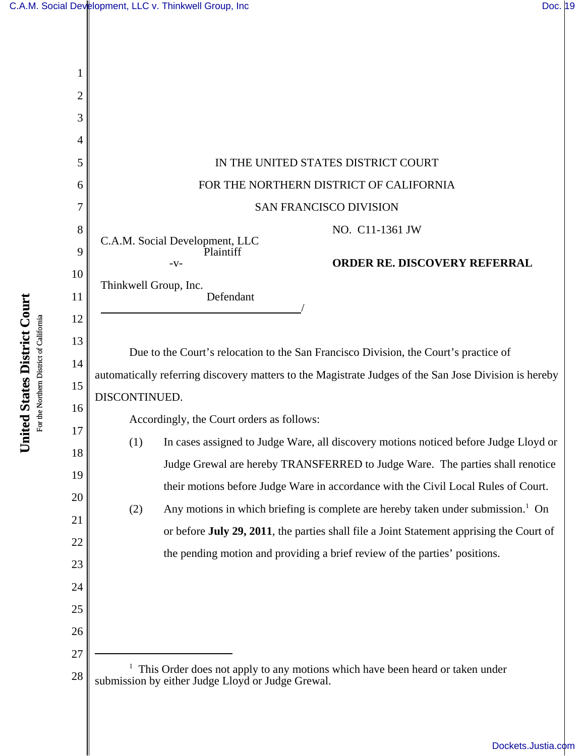

United States District Court **United States District Court** For the Northern District of California For the Northern District of California